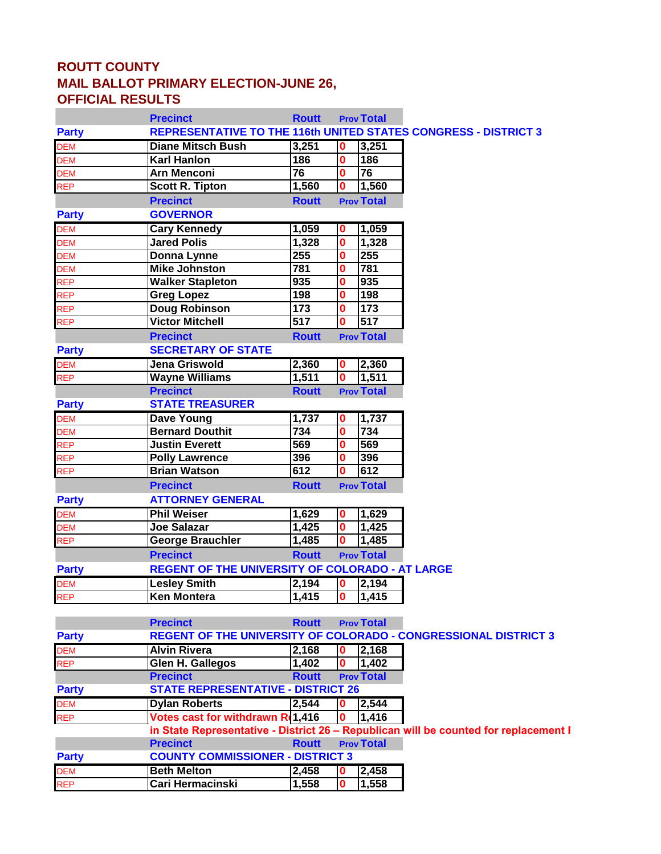## **ROUTT COUNTY MAIL BALLOT PRIMARY ELECTION-JUNE 26, OFFICIAL RESULTS**

|                                               | <b>Precinct</b>                                        | <b>Routt</b>    |                              | <b>Prov Total</b> |                                                                                      |
|-----------------------------------------------|--------------------------------------------------------|-----------------|------------------------------|-------------------|--------------------------------------------------------------------------------------|
| <b>Party</b>                                  |                                                        |                 |                              |                   | <b>REPRESENTATIVE TO THE 116th UNITED STATES CONGRESS - DISTRICT 3</b>               |
| DEM<br>DEM<br>DEM<br>REP                      | <b>Diane Mitsch Bush</b>                               | 3,251           | 10                           | 3,251             |                                                                                      |
|                                               | <b>Karl Hanlon</b>                                     | 186             | $\bf{0}$                     | 186               |                                                                                      |
|                                               | <b>Arn Menconi</b>                                     | $\overline{76}$ | 0                            | 76                |                                                                                      |
|                                               | <b>Scott R. Tipton</b>                                 | 1,560           | 0                            | 1,560             |                                                                                      |
|                                               | <b>Precinct</b>                                        | <b>Routt</b>    |                              | <b>Prov Total</b> |                                                                                      |
| <b>Party</b>                                  | <b>GOVERNOR</b>                                        |                 |                              |                   |                                                                                      |
|                                               | <b>Cary Kennedy</b>                                    | 1,059           | O                            | 1,059             |                                                                                      |
|                                               | <b>Jared Polis</b>                                     | 1,328           | $\bf{0}$                     | 1,328             |                                                                                      |
|                                               | Donna Lynne                                            | 255             | 0                            | 255               |                                                                                      |
|                                               | <b>Mike Johnston</b>                                   | 781             | 0                            | 781               |                                                                                      |
| DEM<br>DEM<br>DEM<br>DEM<br>REP<br>REP<br>REP | <b>Walker Stapleton</b>                                | 935             | 0                            | 935               |                                                                                      |
|                                               | <b>Greg Lopez</b>                                      | 198             | 0                            | 198               |                                                                                      |
|                                               | <b>Doug Robinson</b>                                   | 173             | 0                            | 173               |                                                                                      |
| <b>REP</b>                                    | <b>Victor Mitchell</b>                                 | 517             |                              | 517               |                                                                                      |
|                                               | <b>Precinct</b>                                        | <b>Routt</b>    |                              | <b>Prov Total</b> |                                                                                      |
| <b>Party</b>                                  | <b>SECRETARY OF STATE</b>                              |                 |                              |                   |                                                                                      |
|                                               | Jena Griswold                                          | 2,360           | 0                            | 2,360             |                                                                                      |
| DEM<br>REP                                    | <b>Wayne Williams</b>                                  | 1,511           | $\bf{0}$                     | 1,511             |                                                                                      |
|                                               | <b>Precinct</b>                                        | <b>Routt</b>    |                              | <b>Prov Total</b> |                                                                                      |
| <b>Party</b>                                  | <b>STATE TREASURER</b>                                 |                 |                              |                   |                                                                                      |
| DEM<br>DEM<br>REP                             | <b>Dave Young</b>                                      | 1,737           | 0                            | 1,737             |                                                                                      |
|                                               | <b>Bernard Douthit</b>                                 | 734             | 0                            | 734               |                                                                                      |
|                                               | <b>Justin Everett</b>                                  | 569             | 0                            | 569               |                                                                                      |
| <b>REP</b>                                    | <b>Polly Lawrence</b>                                  | 396             | 0                            | 396               |                                                                                      |
| <b>REP</b>                                    | <b>Brian Watson</b>                                    | 612             | 0                            | 612               |                                                                                      |
|                                               | <b>Precinct</b>                                        | <b>Routt</b>    |                              | <b>Prov Total</b> |                                                                                      |
| <b>Party</b>                                  | <b>ATTORNEY GENERAL</b>                                |                 |                              |                   |                                                                                      |
|                                               | <b>Phil Weiser</b>                                     | 1,629           | 0                            | 1,629             |                                                                                      |
|                                               | <b>Joe Salazar</b>                                     | 1,425           | $\mathbf 0$                  | 1,425             |                                                                                      |
| DEM<br>DEM<br>REP                             | <b>George Brauchler</b>                                | 1,485           | 0                            | 1,485             |                                                                                      |
|                                               | <b>Precinct</b>                                        | <b>Routt</b>    |                              | <b>Prov Total</b> |                                                                                      |
| <b>Party</b>                                  | <b>REGENT OF THE UNIVERSITY OF COLORADO - AT LARGE</b> |                 |                              |                   |                                                                                      |
|                                               |                                                        |                 |                              |                   |                                                                                      |
| DEM<br>REP                                    | <b>Lesley Smith</b>                                    | 2,194           | O<br>$\overline{\textbf{0}}$ | 2,194             |                                                                                      |
|                                               | <b>Ken Montera</b>                                     | 1,415           |                              | 1,415             |                                                                                      |
|                                               | <b>Precinct</b>                                        | <b>Routt</b>    |                              | <b>Prov Total</b> |                                                                                      |
|                                               |                                                        |                 |                              |                   | REGENT OF THE UNIVERSITY OF COLORADO - CONGRESSIONAL DISTRICT 3                      |
| <b>Party</b>                                  | <b>Alvin Rivera</b>                                    |                 | IО                           | $\sqrt{2,168}$    |                                                                                      |
| DEM<br>REP                                    |                                                        | 2,168           |                              |                   |                                                                                      |
|                                               | <b>Glen H. Gallegos</b>                                | 1,402           | 10                           | 1,402             |                                                                                      |
|                                               | <b>Precinct</b>                                        | <b>Routt</b>    |                              | <b>Prov Total</b> |                                                                                      |
| <b>Party</b>                                  | <b>STATE REPRESENTATIVE - DISTRICT 26</b>              |                 |                              |                   |                                                                                      |
| <b>DEM</b>                                    | <b>Dylan Roberts</b>                                   | 2,544           | 10                           | 2,544             |                                                                                      |
| <b>REP</b>                                    | Votes cast for withdrawn R(1,416                       |                 | $\bf{0}$                     | 1,416             |                                                                                      |
|                                               |                                                        |                 |                              |                   | in State Representative - District 26 - Republican will be counted for replacement I |
|                                               | <b>Precinct</b>                                        | <b>Routt</b>    |                              | <b>Prov Total</b> |                                                                                      |
| <b>Party</b>                                  | <b>COUNTY COMMISSIONER - DISTRICT 3</b>                |                 |                              |                   |                                                                                      |
| <b>DEM</b>                                    | <b>Beth Melton</b>                                     | 2,458           | 0                            | 2,458             |                                                                                      |
| <b>REP</b>                                    | Cari Hermacinski                                       | 1,558           | 0                            | 1,558             |                                                                                      |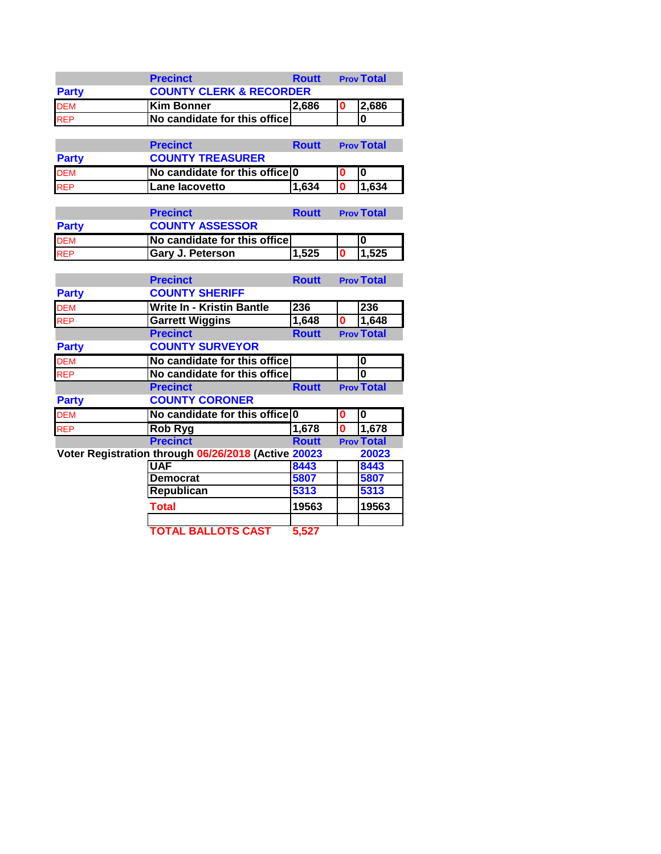|              | <b>Precinct</b>                    | <b>Routt</b> | <b>Prov Total</b> |
|--------------|------------------------------------|--------------|-------------------|
| <b>Party</b> | <b>COUNTY CLERK &amp; RECORDER</b> |              |                   |
| <b>DEM</b>   | <b>IKim Bonner</b>                 | 2,686        | 2.686             |
| <b>REP</b>   | No candidate for this office       |              |                   |

|              | <b>Precinct</b>                | <b>Routt</b> | <b>Prov Total</b> |
|--------------|--------------------------------|--------------|-------------------|
| <b>Party</b> | <b>COUNTY TREASURER</b>        |              |                   |
| <b>DEM</b>   | No candidate for this office 0 |              |                   |
| <b>REP</b>   | Lane lacovetto                 | 1.634        | 1.634             |

|              | <b>Precinct</b>              | <b>Routt</b> | <b>Prov Total</b> |
|--------------|------------------------------|--------------|-------------------|
| <b>Party</b> | <b>COUNTY ASSESSOR</b>       |              |                   |
| <b>DEM</b>   | No candidate for this office |              |                   |
| <b>REP</b>   | <b>Gary J. Peterson</b>      | 1.525        | 1.525             |

|              | <b>Precinct</b>                                     | <b>Routt</b> |          | <b>Prov Total</b> |
|--------------|-----------------------------------------------------|--------------|----------|-------------------|
| <b>Party</b> | <b>COUNTY SHERIFF</b>                               |              |          |                   |
| <b>DEM</b>   | <b>Write In - Kristin Bantle</b>                    | 236          |          | 236               |
| <b>REP</b>   | <b>Garrett Wiggins</b>                              | 1,648        | n        | 1,648             |
|              | <b>Precinct</b>                                     | <b>Routt</b> |          | <b>Prov Total</b> |
| <b>Party</b> | <b>COUNTY SURVEYOR</b>                              |              |          |                   |
| <b>DEM</b>   | No candidate for this office                        |              |          | 0                 |
| <b>REP</b>   | No candidate for this office                        |              |          | 0                 |
|              | <b>Precinct</b>                                     | <b>Routt</b> |          | <b>Prov Total</b> |
| <b>Party</b> | <b>COUNTY CORONER</b>                               |              |          |                   |
|              |                                                     |              |          |                   |
| <b>DEM</b>   | No candidate for this office 0                      |              | 0        | $\bf{0}$          |
| <b>REP</b>   | Rob Ryg                                             | 1,678        | $\bf{0}$ | 1,678             |
|              | <b>Precinct</b>                                     | <b>Routt</b> |          | <b>Prov Total</b> |
|              | Voter Registration through 06/26/2018 (Active 20023 |              |          | 20023             |
|              | <b>UAF</b>                                          | 8443         |          | 8443              |
|              | <b>Democrat</b>                                     | 5807         |          | 5807              |
|              | <b>Republican</b>                                   | 5313         |          | 5313              |
|              | Total                                               | 19563        |          | 19563             |